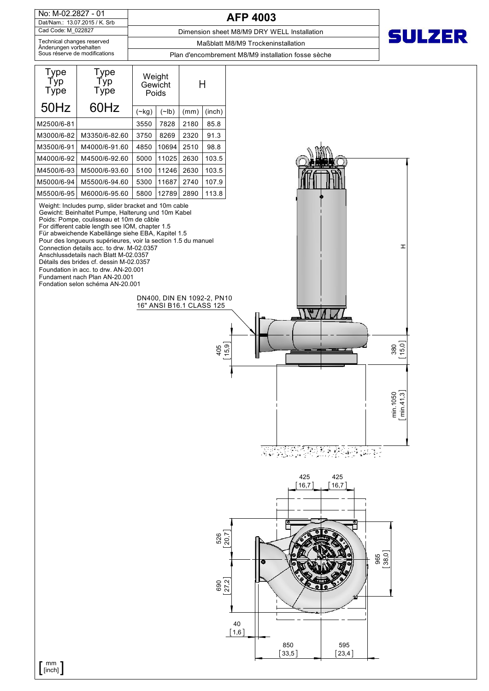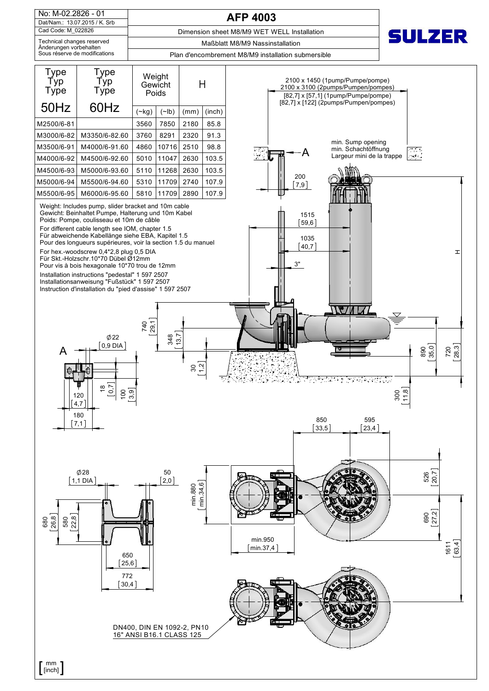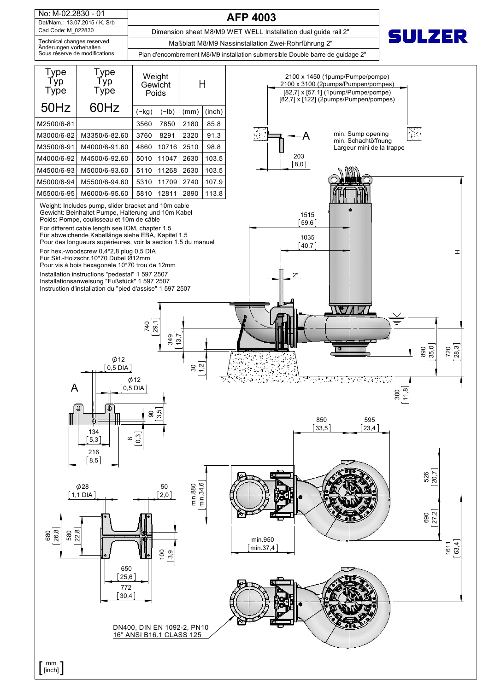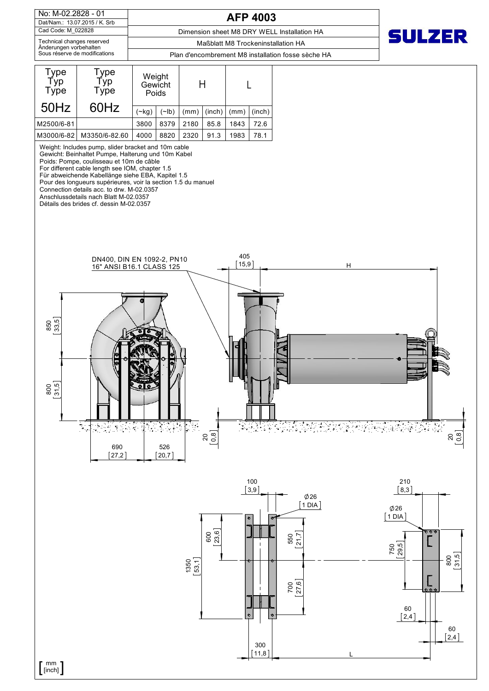| No: M-02.2828 - 01                                   | <b>AFP 4003</b>                                   |  |  |  |  |  |
|------------------------------------------------------|---------------------------------------------------|--|--|--|--|--|
| Dat/Nam.: 13.07.2015 / K. Srb                        |                                                   |  |  |  |  |  |
| Cad Code: M 022828                                   | Dimension sheet M8 DRY WELL Installation HA       |  |  |  |  |  |
| Technical changes reserved<br>Änderungen vorbehalten | Maßblatt M8 Trockeninstallation HA                |  |  |  |  |  |
| Sous réserve de modifications                        | Plan d'encombrement M8 installation fosse sèche l |  |  |  |  |  |



Weight: Includes pump, slider bracket and 10m cable

Gewicht: Beinhaltet Pumpe, Halterung und 10m Kabel

Poids: Pompe, coulisseau et 10m de câble

For different cable length see IOM, chapter 1.5

Für abweichende Kabellänge siehe EBA, Kapitel 1.5 Pour des longueurs supérieures, voir la section 1.5 du manuel

Connection details acc. to drw. M-02.0357

Anschlussdetails nach Blatt M-02.0357

Détails des brides cf. dessin M-02.0357





**SULZER**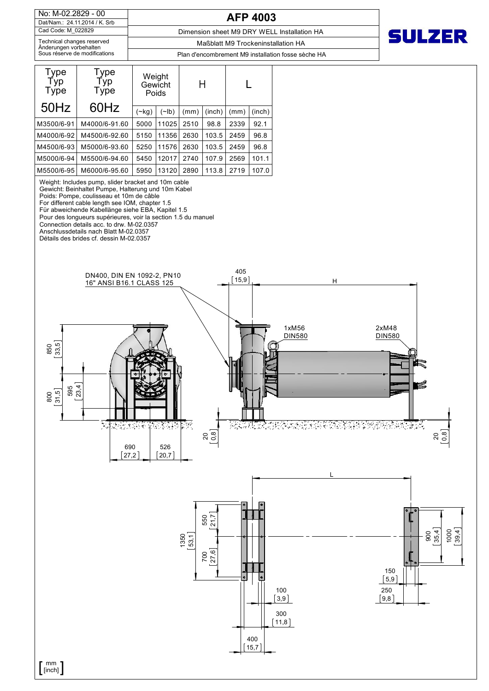No: M-02.2829 - 00 Cad Code: M\_022829 Dat/Nam.: 24.11.2014 / K. Srb

**AFP 4003**

Dimension sheet M9 DRY WELL Installation HA

Änderungen vorbehalten Sous réserve de modifications Technical changes reserved

Plan d'encombrement M9 installation fosse sèche HA Maßblatt M9 Trockeninstallation HA

**SULZER** 

| Type<br>Typ<br><b>Type</b> | Type<br>Typ<br><b>Type</b> | Weight<br>Gewicht<br>Poids |       | H    |        |      |        |
|----------------------------|----------------------------|----------------------------|-------|------|--------|------|--------|
| 50Hz                       | 60Hz                       |                            | (~lb) | (mm) | (inch) | (mm) | (inch) |
|                            |                            | $(\sim$ kg)                |       |      |        |      |        |
| M3500/6-91                 | M4000/6-91.60              | 5000                       | 11025 | 2510 | 98.8   | 2339 | 92.1   |
| M4000/6-92                 | M4500/6-92.60              | 5150                       | 11356 | 2630 | 103.5  | 2459 | 96.8   |
| M4500/6-93                 | M5000/6-93.60              | 5250                       | 11576 | 2630 | 103.5  | 2459 | 96.8   |
| M5000/6-94                 | M5500/6-94.60              | 5450                       | 12017 | 2740 | 107.9  | 2569 | 101.1  |
| M5500/6-95                 | M6000/6-95.60              | 5950                       | 13120 | 2890 | 113.8  | 2719 | 107.0  |

Weight: Includes pump, slider bracket and 10m cable

Gewicht: Beinhaltet Pumpe, Halterung und 10m Kabel

Poids: Pompe, coulisseau et 10m de câble

For different cable length see IOM, chapter 1.5

Für abweichende Kabellänge siehe EBA, Kapitel 1.5

Pour des longueurs supérieures, voir la section 1.5 du manuel

Connection details acc. to drw. M-02.0357

Anschlussdetails nach Blatt M-02.0357